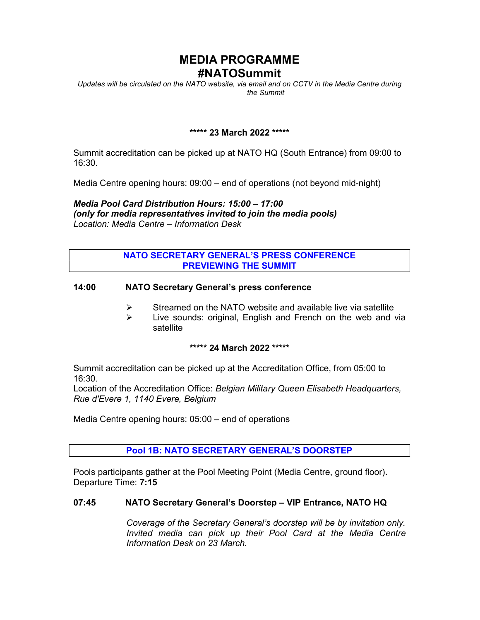# MEDIA PROGRAMME #NATOSummit

Updates will be circulated on the NATO website, via email and on CCTV in the Media Centre during the Summit

### \*\*\*\*\* 23 March 2022 \*\*\*\*\*

Summit accreditation can be picked up at NATO HQ (South Entrance) from 09:00 to 16:30.

Media Centre opening hours: 09:00 – end of operations (not beyond mid-night)

Media Pool Card Distribution Hours: 15:00 – 17:00 (only for media representatives invited to join the media pools) Location: Media Centre – Information Desk

### NATO SECRETARY GENERAL'S PRESS CONFERENCE PREVIEWING THE SUMMIT

#### 14:00 NATO Secretary General's press conference

- $\triangleright$  Streamed on the NATO website and available live via satellite
- $\triangleright$  Live sounds: original, English and French on the web and via satellite

#### \*\*\*\*\* 24 March 2022 \*\*\*\*\*

Summit accreditation can be picked up at the Accreditation Office, from 05:00 to 16:30.

Location of the Accreditation Office: Belgian Military Queen Elisabeth Headquarters, Rue d'Evere 1, 1140 Evere, Belgium

Media Centre opening hours: 05:00 – end of operations

### Pool 1B: NATO SECRETARY GENERAL'S DOORSTEP

Pools participants gather at the Pool Meeting Point (Media Centre, ground floor). Departure Time: 7:15

### 07:45 NATO Secretary General's Doorstep – VIP Entrance, NATO HQ

Coverage of the Secretary General's doorstep will be by invitation only. Invited media can pick up their Pool Card at the Media Centre Information Desk on 23 March.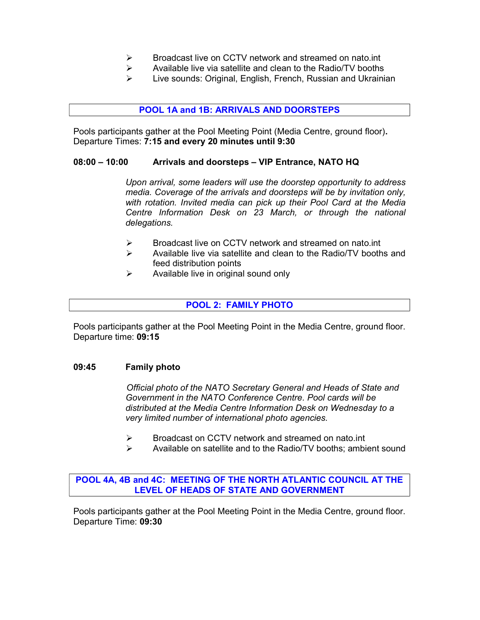- $\triangleright$  Broadcast live on CCTV network and streamed on nato.int
- $\triangleright$  Available live via satellite and clean to the Radio/TV booths
- Live sounds: Original, English, French, Russian and Ukrainian

#### POOL 1A and 1B: ARRIVALS AND DOORSTEPS

Pools participants gather at the Pool Meeting Point (Media Centre, ground floor). Departure Times: 7:15 and every 20 minutes until 9:30

#### 08:00 – 10:00 Arrivals and doorsteps – VIP Entrance, NATO HQ

Upon arrival, some leaders will use the doorstep opportunity to address media. Coverage of the arrivals and doorsteps will be by invitation only, with rotation. Invited media can pick up their Pool Card at the Media Centre Information Desk on 23 March, or through the national delegations.

- **► Broadcast live on CCTV network and streamed on nato.int**
- $\triangleright$  Available live via satellite and clean to the Radio/TV booths and feed distribution points
- $\triangleright$  Available live in original sound only

#### POOL 2: FAMILY PHOTO

Pools participants gather at the Pool Meeting Point in the Media Centre, ground floor. Departure time: 09:15

#### 09:45 Family photo

Official photo of the NATO Secretary General and Heads of State and Government in the NATO Conference Centre. Pool cards will be distributed at the Media Centre Information Desk on Wednesday to a very limited number of international photo agencies.

- $\triangleright$  Broadcast on CCTV network and streamed on nato.int
- Available on satellite and to the Radio/TV booths; ambient sound

POOL 4A, 4B and 4C: MEETING OF THE NORTH ATLANTIC COUNCIL AT THE LEVEL OF HEADS OF STATE AND GOVERNMENT

Pools participants gather at the Pool Meeting Point in the Media Centre, ground floor. Departure Time: 09:30